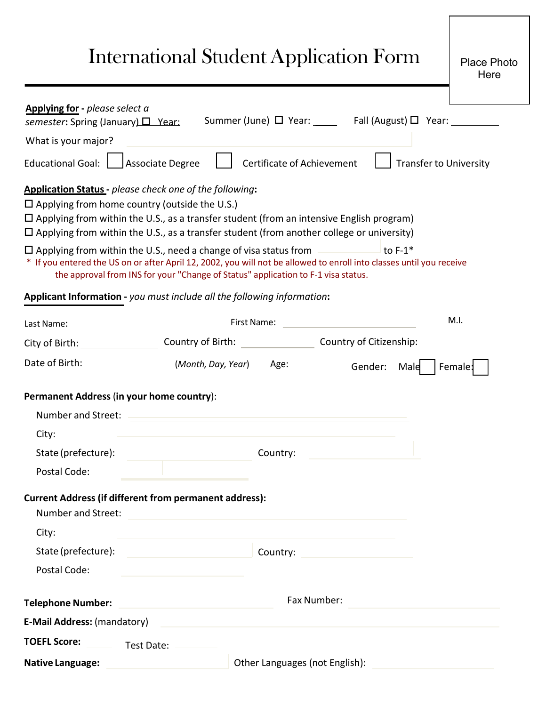## International Student Application Form

| Applying for - please select a                                           |                                                                                                                                                                                                                                                                                                       |
|--------------------------------------------------------------------------|-------------------------------------------------------------------------------------------------------------------------------------------------------------------------------------------------------------------------------------------------------------------------------------------------------|
| semester: Spring (January) $\Box$ Year:                                  | Summer (June) $\Box$ Year: ______ Fall (August) $\Box$ Year: _________                                                                                                                                                                                                                                |
| What is your major?                                                      |                                                                                                                                                                                                                                                                                                       |
| <b>Educational Goal:</b>                                                 | Certificate of Achievement<br><b>Associate Degree</b><br><b>Transfer to University</b>                                                                                                                                                                                                                |
|                                                                          | <b>Application Status</b> - please check one of the following:                                                                                                                                                                                                                                        |
| $\square$ Applying from home country (outside the U.S.)                  | □ Applying from within the U.S., as a transfer student (from an intensive English program)<br>$\Box$ Applying from within the U.S., as a transfer student (from another college or university)                                                                                                        |
|                                                                          | $\square$ Applying from within the U.S., need a change of visa status from<br>to $F-1^*$<br>* If you entered the US on or after April 12, 2002, you will not be allowed to enroll into classes until you receive<br>the approval from INS for your "Change of Status" application to F-1 visa status. |
|                                                                          | Applicant Information - you must include all the following information:                                                                                                                                                                                                                               |
| Last Name:                                                               | M.I.<br>First Name:                                                                                                                                                                                                                                                                                   |
| City of Birth:                                                           | Country of Citizenship:<br>Country of Birth:                                                                                                                                                                                                                                                          |
| Date of Birth:                                                           | (Month, Day, Year)<br>Age:<br>Gender:<br>Male<br>Female:                                                                                                                                                                                                                                              |
| Permanent Address (in your home country):<br>Number and Street:<br>City: |                                                                                                                                                                                                                                                                                                       |
| State (prefecture):                                                      | Country:                                                                                                                                                                                                                                                                                              |
| Postal Code:                                                             |                                                                                                                                                                                                                                                                                                       |
| Number and Street:                                                       | <b>Current Address (if different from permanent address):</b>                                                                                                                                                                                                                                         |
| City:                                                                    |                                                                                                                                                                                                                                                                                                       |
| State (prefecture):                                                      | Country:                                                                                                                                                                                                                                                                                              |
| Postal Code:                                                             |                                                                                                                                                                                                                                                                                                       |
| <b>Telephone Number:</b>                                                 | Fax Number:                                                                                                                                                                                                                                                                                           |
| E-Mail Address: (mandatory)                                              |                                                                                                                                                                                                                                                                                                       |
| <b>TOEFL Score:</b>                                                      | Test Date:                                                                                                                                                                                                                                                                                            |
| <b>Native Language:</b>                                                  | Other Languages (not English):                                                                                                                                                                                                                                                                        |
|                                                                          |                                                                                                                                                                                                                                                                                                       |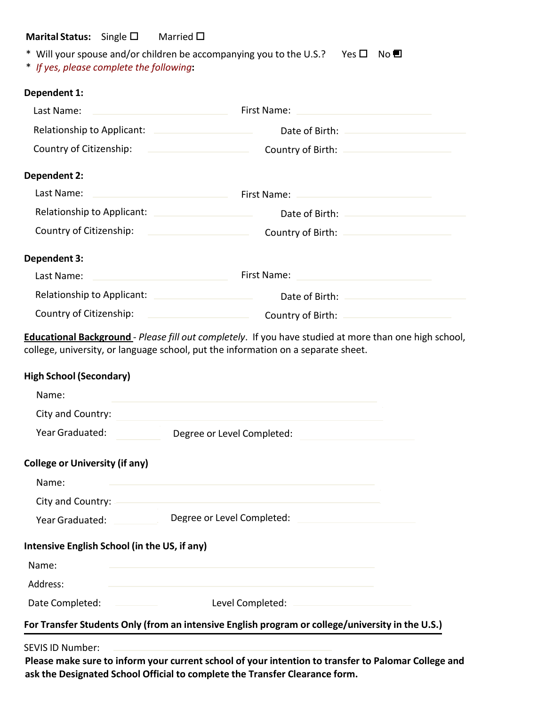## **Marital Status:** Single □ Married □

| * Will your spouse and/or children be accompanying you to the U.S.? Yes $\square$ No $\square$ |  |
|------------------------------------------------------------------------------------------------|--|
|                                                                                                |  |

\* *If yes, please complete the following***:**

## **Dependent 1:**

| Last Name:                                      | First Name:                                                                                                                                                  |  |
|-------------------------------------------------|--------------------------------------------------------------------------------------------------------------------------------------------------------------|--|
| Relationship to Applicant:                      | Date of Birth:                                                                                                                                               |  |
| Country of Citizenship:                         | Country of Birth:<br>the control of the control of the control of the control of                                                                             |  |
| <b>Dependent 2:</b>                             |                                                                                                                                                              |  |
| Last Name:                                      | First Name:                                                                                                                                                  |  |
|                                                 | Relationship to Applicant: Network and the set of the set of the set of the set of the set of the set of the s<br>Date of Birth: National Property of Birth: |  |
| Country of Citizenship:                         | Country of Birth: -                                                                                                                                          |  |
| Dependent 3:                                    |                                                                                                                                                              |  |
| Last Name:                                      | First Name:                                                                                                                                                  |  |
| Relationship to Applicant:                      | Date of Birth:                                                                                                                                               |  |
| Country of Citizenship:                         | Country of Birth:<br>the control of the control of the control of                                                                                            |  |
| Name:<br>City and Country:<br>Year Graduated:   | Degree or Level Completed:                                                                                                                                   |  |
| <b>College or University (if any)</b>           |                                                                                                                                                              |  |
| Name:                                           |                                                                                                                                                              |  |
| City and Country:<br>Degree or Level Completed: |                                                                                                                                                              |  |
| Year Graduated:                                 |                                                                                                                                                              |  |
| Intensive English School (in the US, if any)    |                                                                                                                                                              |  |
| Name:                                           |                                                                                                                                                              |  |
| Address:                                        |                                                                                                                                                              |  |
| Date Completed:                                 | Level Completed:                                                                                                                                             |  |
|                                                 | For Transfer Students Only (from an intensive English program or college/university in the U.S.)                                                             |  |
| <b>SEVIS ID Number:</b>                         | Please make sure to inform your current school of your intention to transfer to Palomar College and                                                          |  |

**Please make sure to inform your current school of your intention to transfer to Palomar College and ask the Designated School Official to complete the Transfer Clearance form.**